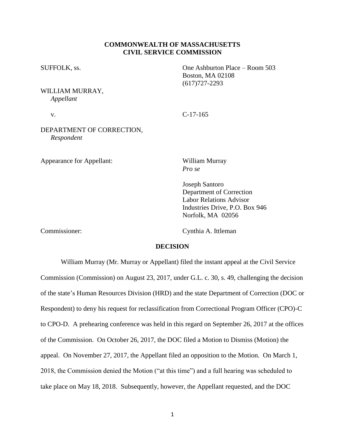## **COMMONWEALTH OF MASSACHUSETTS CIVIL SERVICE COMMISSION**

SUFFOLK, ss. One Ashburton Place – Room 503

WILLIAM MURRAY, *Appellant*

v. C-17-165

Boston, MA 02108 (617)727-2293

# DEPARTMENT OF CORRECTION, *Respondent*

Appearance for Appellant: William Murray

*Pro se*

Joseph Santoro Department of Correction Labor Relations Advisor Industries Drive, P.O. Box 946 Norfolk, MA 02056

Commissioner: Cynthia A. Ittleman

### **DECISION**

William Murray (Mr. Murray or Appellant) filed the instant appeal at the Civil Service Commission (Commission) on August 23, 2017, under G.L. c. 30, s. 49, challenging the decision of the state's Human Resources Division (HRD) and the state Department of Correction (DOC or Respondent) to deny his request for reclassification from Correctional Program Officer (CPO)-C to CPO-D. A prehearing conference was held in this regard on September 26, 2017 at the offices of the Commission. On October 26, 2017, the DOC filed a Motion to Dismiss (Motion) the appeal. On November 27, 2017, the Appellant filed an opposition to the Motion. On March 1, 2018, the Commission denied the Motion ("at this time") and a full hearing was scheduled to take place on May 18, 2018. Subsequently, however, the Appellant requested, and the DOC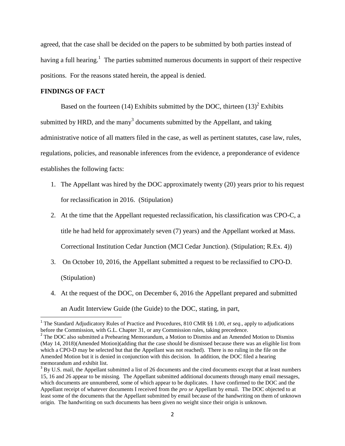agreed, that the case shall be decided on the papers to be submitted by both parties instead of having a full hearing.<sup>1</sup> The parties submitted numerous documents in support of their respective positions. For the reasons stated herein, the appeal is denied.

## **FINDINGS OF FACT**

 $\overline{a}$ 

Based on the fourteen (14) Exhibits submitted by the DOC, thirteen  $(13)^2$  Exhibits submitted by HRD, and the many<sup>3</sup> documents submitted by the Appellant, and taking administrative notice of all matters filed in the case, as well as pertinent statutes, case law, rules, regulations, policies, and reasonable inferences from the evidence, a preponderance of evidence establishes the following facts:

- 1. The Appellant was hired by the DOC approximately twenty (20) years prior to his request for reclassification in 2016. (Stipulation)
- 2. At the time that the Appellant requested reclassification, his classification was CPO-C, a title he had held for approximately seven (7) years) and the Appellant worked at Mass. Correctional Institution Cedar Junction (MCI Cedar Junction). (Stipulation; R.Ex. 4))
- 3. On October 10, 2016, the Appellant submitted a request to be reclassified to CPO-D. (Stipulation)
- 4. At the request of the DOC, on December 6, 2016 the Appellant prepared and submitted an Audit Interview Guide (the Guide) to the DOC, stating, in part,

<sup>&</sup>lt;sup>1</sup> The Standard Adjudicatory Rules of Practice and Procedures, 810 CMR §§ 1.00, *et seq.*, apply to adjudications before the Commission, with G.L. Chapter 31, or any Commission rules, taking precedence.

<sup>&</sup>lt;sup>2</sup> The DOC also submitted a Prehearing Memorandum, a Motion to Dismiss and an Amended Motion to Dismiss (May 14, 2018)(Amended Motion)(adding that the case should be dismissed because there was an eligible list from which a CPO-D may be selected but that the Appellant was not reached). There is no ruling in the file on the Amended Motion but it is denied in conjunction with this decision. In addition, the DOC filed a hearing memorandum and exhibit list.

 $3$  By U.S. mail, the Appellant submitted a list of 26 documents and the cited documents except that at least numbers 15, 16 and 26 appear to be missing. The Appellant submitted additional documents through many email messages, which documents are unnumbered, some of which appear to be duplicates. I have confirmed to the DOC and the Appellant receipt of whatever documents I received from the *pro se* Appellant by email. The DOC objected to at least some of the documents that the Appellant submitted by email because of the handwriting on them of unknown origin. The handwriting on such documents has been given no weight since their origin is unknown.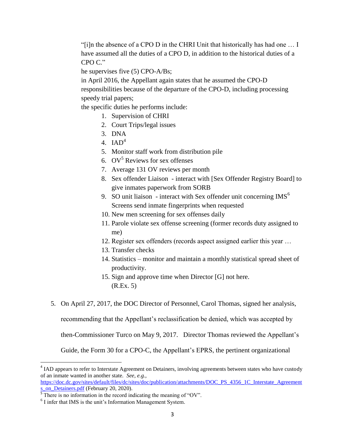"[i]n the absence of a CPO D in the CHRI Unit that historically has had one … I have assumed all the duties of a CPO D, in addition to the historical duties of a CPO C."

he supervises five (5) CPO-A/Bs;

in April 2016, the Appellant again states that he assumed the CPO-D responsibilities because of the departure of the CPO-D, including processing speedy trial papers;

the specific duties he performs include:

- 1. Supervision of CHRI
- 2. Court Trips/legal issues
- 3. DNA
- 4.  $IAD<sup>4</sup>$
- 5. Monitor staff work from distribution pile
- 6.  $\mathrm{OV}^5$  Reviews for sex offenses
- 7. Average 131 OV reviews per month
- 8. Sex offender Liaison interact with [Sex Offender Registry Board] to give inmates paperwork from SORB
- 9. SO unit liaison interact with Sex offender unit concerning  $\text{IMS}^6$ Screens send inmate fingerprints when requested
- 10. New men screening for sex offenses daily
- 11. Parole violate sex offense screening (former records duty assigned to me)
- 12. Register sex offenders (records aspect assigned earlier this year …
- 13. Transfer checks
- 14. Statistics monitor and maintain a monthly statistical spread sheet of productivity.
- 15. Sign and approve time when Director [G] not here. (R.Ex. 5)
- 5. On April 27, 2017, the DOC Director of Personnel, Carol Thomas, signed her analysis,

recommending that the Appellant's reclassification be denied, which was accepted by

then-Commissioner Turco on May 9, 2017. Director Thomas reviewed the Appellant's

Guide, the Form 30 for a CPO-C, the Appellant's EPRS, the pertinent organizational

[https://doc.dc.gov/sites/default/files/dc/sites/doc/publication/attachments/DOC\\_PS\\_4356\\_1C\\_Interstate\\_Agreement](https://doc.dc.gov/sites/default/files/dc/sites/doc/publication/attachments/DOC_PS_4356_1C_Interstate_Agreements_on_Detainers.pdf) [s\\_on\\_Detainers.pdf](https://doc.dc.gov/sites/default/files/dc/sites/doc/publication/attachments/DOC_PS_4356_1C_Interstate_Agreements_on_Detainers.pdf) (February 20, 2020).

 $\overline{\phantom{a}}$ 

<sup>&</sup>lt;sup>4</sup> IAD appears to refer to Interstate Agreement on Detainers, involving agreements between states who have custody of an inmate wanted in another state. *See, e.g.,*

 $5$  There is no information in the record indicating the meaning of "OV".

<sup>6</sup> I infer that IMS is the unit's Information Management System.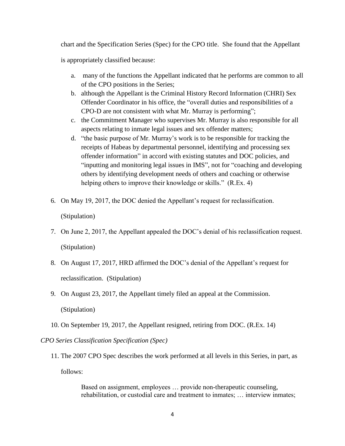chart and the Specification Series (Spec) for the CPO title. She found that the Appellant is appropriately classified because:

- a. many of the functions the Appellant indicated that he performs are common to all of the CPO positions in the Series;
- b. although the Appellant is the Criminal History Record Information (CHRI) Sex Offender Coordinator in his office, the "overall duties and responsibilities of a CPO-D are not consistent with what Mr. Murray is performing";
- c. the Commitment Manager who supervises Mr. Murray is also responsible for all aspects relating to inmate legal issues and sex offender matters;
- d. "the basic purpose of Mr. Murray's work is to be responsible for tracking the receipts of Habeas by departmental personnel, identifying and processing sex offender information" in accord with existing statutes and DOC policies, and "inputting and monitoring legal issues in IMS", not for "coaching and developing others by identifying development needs of others and coaching or otherwise helping others to improve their knowledge or skills." (R.Ex. 4)
- 6. On May 19, 2017, the DOC denied the Appellant's request for reclassification. (Stipulation)
- 7. On June 2, 2017, the Appellant appealed the DOC's denial of his reclassification request. (Stipulation)
- 8. On August 17, 2017, HRD affirmed the DOC's denial of the Appellant's request for reclassification. (Stipulation)
- 9. On August 23, 2017, the Appellant timely filed an appeal at the Commission. (Stipulation)
- 10. On September 19, 2017, the Appellant resigned, retiring from DOC. (R.Ex. 14)

*CPO Series Classification Specification (Spec)*

11. The 2007 CPO Spec describes the work performed at all levels in this Series, in part, as follows:

> Based on assignment, employees … provide non-therapeutic counseling, rehabilitation, or custodial care and treatment to inmates; … interview inmates;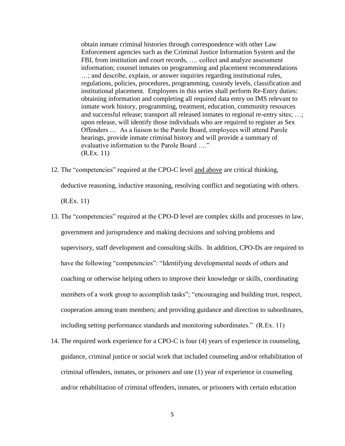obtain inmate criminal histories through correspondence with other Law Enforcement agencies such as the Criminal Justice Information System and the FBI, from institution and court records, …. collect and analyze assessment information; counsel inmates on programming and placement recommendations …; and describe, explain, or answer inquiries regarding institutional rules, regulations, policies, procedures, programming, custody levels, classification and institutional placement. Employees in this series shall perform Re-Entry duties: obtaining information and completing all required data entry on IMS relevant to inmate work history, programming, treatment, education, community resources and successful release; transport all released inmates to regional re-entry sites; …; upon release, will identify those individuals who are required to register as Sex Offenders … As a liaison to the Parole Board, employees will attend Parole hearings, provide inmate criminal history and will provide a summary of evaluative information to the Parole Board …." (R.Ex. 11)

12. The "competencies" required at the CPO-C level and above are critical thinking, deductive reasoning, inductive reasoning, resolving conflict and negotiating with others.

(R.Ex. 11)

- 13. The "competencies" required at the CPO-D level are complex skills and processes in law, government and jurisprudence and making decisions and solving problems and supervisory, staff development and consulting skills. In addition, CPO-Ds are required to have the following "competencies": "Identifying developmental needs of others and coaching or otherwise helping others to improve their knowledge or skills, coordinating members of a work group to accomplish tasks"; "encouraging and building trust, respect, cooperation among team members; and providing guidance and direction to subordinates, including setting performance standards and monitoring subordinates." (R.Ex. 11)
- 14. The required work experience for a CPO-C is four (4) years of experience in counseling, guidance, criminal justice or social work that included counseling and/or rehabilitation of criminal offenders, inmates, or prisoners and one (1) year of experience in counseling and/or rehabilitation of criminal offenders, inmates, or prisoners with certain education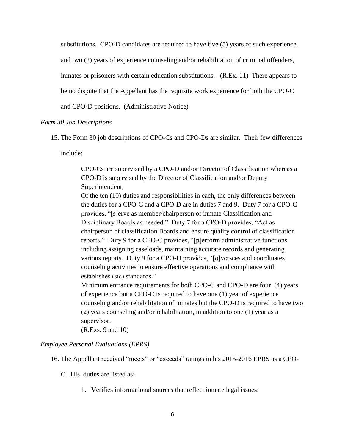substitutions. CPO-D candidates are required to have five (5) years of such experience, and two (2) years of experience counseling and/or rehabilitation of criminal offenders, inmates or prisoners with certain education substitutions. (R.Ex. 11) There appears to be no dispute that the Appellant has the requisite work experience for both the CPO-C

and CPO-D positions. (Administrative Notice)

## *Form 30 Job Descriptions*

15. The Form 30 job descriptions of CPO-Cs and CPO-Ds are similar. Their few differences

include:

CPO-Cs are supervised by a CPO-D and/or Director of Classification whereas a CPO-D is supervised by the Director of Classification and/or Deputy Superintendent;

Of the ten (10) duties and responsibilities in each, the only differences between the duties for a CPO-C and a CPO-D are in duties 7 and 9. Duty 7 for a CPO-C provides, "[s]erve as member/chairperson of inmate Classification and Disciplinary Boards as needed." Duty 7 for a CPO-D provides, "Act as chairperson of classification Boards and ensure quality control of classification reports." Duty 9 for a CPO-C provides, "[p]erform administrative functions including assigning caseloads, maintaining accurate records and generating various reports. Duty 9 for a CPO-D provides, "[o]versees and coordinates counseling activities to ensure effective operations and compliance with establishes (sic) standards."

Minimum entrance requirements for both CPO-C and CPO-D are four (4) years of experience but a CPO-C is required to have one (1) year of experience counseling and/or rehabilitation of inmates but the CPO-D is required to have two (2) years counseling and/or rehabilitation, in addition to one (1) year as a supervisor.

(R.Exs. 9 and 10)

### *Employee Personal Evaluations (EPRS)*

- 16. The Appellant received "meets" or "exceeds" ratings in his 2015-2016 EPRS as a CPO-
	- C. His duties are listed as:
		- 1. Verifies informational sources that reflect inmate legal issues: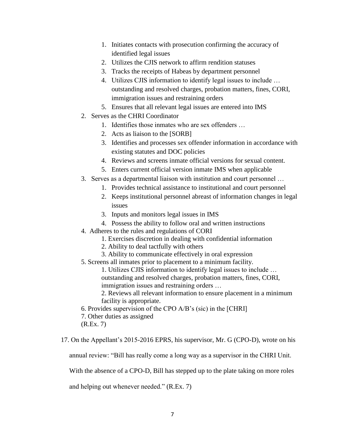- 1. Initiates contacts with prosecution confirming the accuracy of identified legal issues
- 2. Utilizes the CJIS network to affirm rendition statuses
- 3. Tracks the receipts of Habeas by department personnel
- 4. Utilizes CJIS information to identify legal issues to include … outstanding and resolved charges, probation matters, fines, CORI, immigration issues and restraining orders
- 5. Ensures that all relevant legal issues are entered into IMS
- 2. Serves as the CHRI Coordinator
	- 1. Identifies those inmates who are sex offenders …
	- 2. Acts as liaison to the [SORB]
	- 3. Identifies and processes sex offender information in accordance with existing statutes and DOC policies
	- 4. Reviews and screens inmate official versions for sexual content.
	- 5. Enters current official version inmate IMS when applicable
- 3. Serves as a departmental liaison with institution and court personnel …
	- 1. Provides technical assistance to institutional and court personnel
	- 2. Keeps institutional personnel abreast of information changes in legal issues
	- 3. Inputs and monitors legal issues in IMS
	- 4. Possess the ability to follow oral and written instructions
- 4. Adheres to the rules and regulations of CORI
	- 1. Exercises discretion in dealing with confidential information
	- 2. Ability to deal tactfully with others
	- 3. Ability to communicate effectively in oral expression
- 5. Screens all inmates prior to placement to a minimum facility.

1. Utilizes CJIS information to identify legal issues to include … outstanding and resolved charges, probation matters, fines, CORI, immigration issues and restraining orders …

2. Reviews all relevant information to ensure placement in a minimum facility is appropriate.

- 6. Provides supervision of the CPO A/B's (sic) in the [CHRI]
- 7. Other duties as assigned
- (R.Ex. 7)

17. On the Appellant's 2015-2016 EPRS, his supervisor, Mr. G (CPO-D), wrote on his

annual review: "Bill has really come a long way as a supervisor in the CHRI Unit.

With the absence of a CPO-D, Bill has stepped up to the plate taking on more roles

and helping out whenever needed." (R.Ex. 7)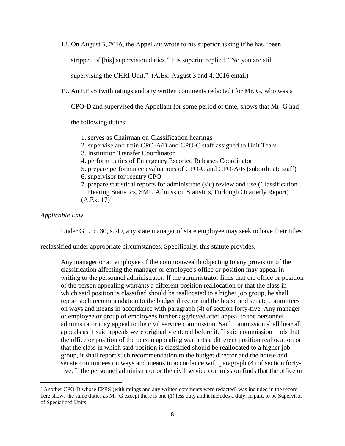18. On August 3, 2016, the Appellant wrote to his superior asking if he has "been

stripped of [his] supervision duties." His superior replied, "No you are still

supervising the CHRI Unit." (A.Ex. August 3 and 4, 2016 email)

19. An EPRS (with ratings and any written comments redacted) for Mr. G, who was a

CPO-D and supervised the Appellant for some period of time, shows that Mr. G had

the following duties:

- 1. serves as Chairman on Classification hearings
- 2. supervise and train CPO-A/B and CPO-C staff assigned to Unit Team
- 3. Institution Transfer Coordinator
- 4. perform duties of Emergency Escorted Releases Coordinator
- 5. prepare performance evaluations of CPO-C and CPO-A/B (subordinate staff)
- 6. supervisor for reentry CPO
- 7. prepare statistical reports for administrate (sic) review and use (Classification Hearing Statistics, SMU Admission Statistics, Furlough Quarterly Report)  $(A.Ex. 17)<sup>7</sup>$

*Applicable Law*

 $\overline{\phantom{a}}$ 

Under G.L. c. 30, s. 49, any state manager of state employee may seek to have their titles

reclassified under appropriate circumstances. Specifically, this statute provides,

Any manager or an employee of the commonwealth objecting to any provision of the classification affecting the manager or employee's office or position may appeal in writing to the personnel administrator. If the administrator finds that the office or position of the person appealing warrants a different position reallocation or that the class in which said position is classified should be reallocated to a higher job group, he shall report such recommendation to the budget director and the house and senate committees on ways and means in accordance with paragraph (4) of section forty-five. Any manager or employee or group of employees further aggrieved after appeal to the personnel administrator may appeal to the civil service commission. Said commission shall hear all appeals as if said appeals were originally entered before it. If said commission finds that the office or position of the person appealing warrants a different position reallocation or that the class in which said position is classified should be reallocated to a higher job group, it shall report such recommendation to the budget director and the house and senate committees on ways and means in accordance with paragraph (4) of section fortyfive. If the personnel administrator or the civil service commission finds that the office or

<sup>&</sup>lt;sup>7</sup> Another CPO-D whose EPRS (with ratings and any written comments were redacted) was included in the record here shows the same duties as Mr. G except there is one (1) less duty and it includes a duty, in part, to be Supervisor of Specialized Units.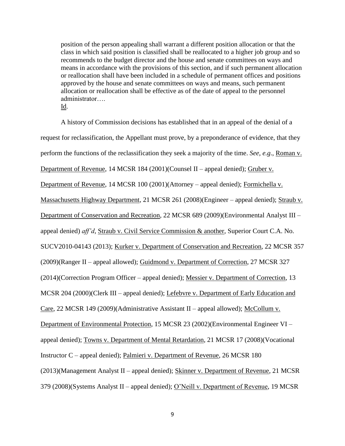position of the person appealing shall warrant a different position allocation or that the class in which said position is classified shall be reallocated to a higher job group and so recommends to the budget director and the house and senate committees on ways and means in accordance with the provisions of this section, and if such permanent allocation or reallocation shall have been included in a schedule of permanent offices and positions approved by the house and senate committees on ways and means, such permanent allocation or reallocation shall be effective as of the date of appeal to the personnel administrator…. Id.

A history of Commission decisions has established that in an appeal of the denial of a request for reclassification, the Appellant must prove, by a preponderance of evidence, that they perform the functions of the reclassification they seek a majority of the time. *See, e.g*., Roman v. Department of Revenue, 14 MCSR 184 (2001)(Counsel II – appeal denied); Gruber v. Department of Revenue, 14 MCSR 100 (2001)(Attorney – appeal denied); Formichella v. Massachusetts Highway Department, 21 MCSR 261 (2008)(Engineer – appeal denied); Straub v. Department of Conservation and Recreation, 22 MCSR 689 (2009)(Environmental Analyst III – appeal denied) *aff'd*, Straub v. Civil Service Commission & another, Superior Court C.A. No. SUCV2010-04143 (2013); Kurker v. Department of Conservation and Recreation, 22 MCSR 357 (2009)(Ranger II – appeal allowed); Guidmond v. Department of Correction, 27 MCSR 327 (2014)(Correction Program Officer – appeal denied); Messier v. Department of Correction, 13 MCSR 204 (2000)(Clerk III – appeal denied); Lefebvre v. Department of Early Education and Care, 22 MCSR 149 (2009)(Administrative Assistant II – appeal allowed); McCollum v. Department of Environmental Protection, 15 MCSR 23 (2002)(Environmental Engineer VI – appeal denied); Towns v. Department of Mental Retardation, 21 MCSR 17 (2008)(Vocational Instructor C – appeal denied); Palmieri v. Department of Revenue, 26 MCSR 180 (2013)(Management Analyst II – appeal denied); Skinner v. Department of Revenue, 21 MCSR 379 (2008)(Systems Analyst II – appeal denied); O'Neill v. Department of Revenue, 19 MCSR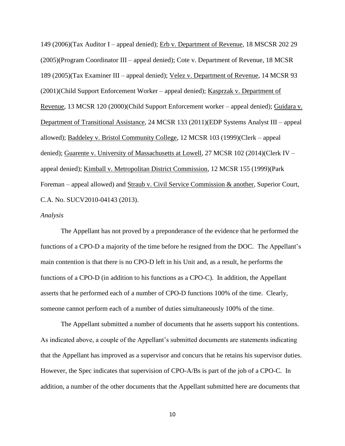149 (2006)(Tax Auditor I – appeal denied); Erb v. Department of Revenue, 18 MSCSR 202 29 (2005)(Program Coordinator III – appeal denied); Cote v. Department of Revenue, 18 MCSR 189 (2005)(Tax Examiner III – appeal denied); Velez v. Department of Revenue, 14 MCSR 93 (2001)(Child Support Enforcement Worker – appeal denied); Kasprzak v. Department of Revenue, 13 MCSR 120 (2000)(Child Support Enforcement worker – appeal denied); Guidara v. Department of Transitional Assistance, 24 MCSR 133 (2011)(EDP Systems Analyst III – appeal allowed); Baddeley v. Bristol Community College, 12 MCSR 103 (1999)(Clerk – appeal denied); Guarente v. University of Massachusetts at Lowell, 27 MCSR 102 (2014)(Clerk IV – appeal denied); Kimball v. Metropolitan District Commission, 12 MCSR 155 (1999)(Park Foreman – appeal allowed) and Straub v. Civil Service Commission & another, Superior Court, C.A. No. SUCV2010-04143 (2013).

### *Analysis*

The Appellant has not proved by a preponderance of the evidence that he performed the functions of a CPO-D a majority of the time before he resigned from the DOC. The Appellant's main contention is that there is no CPO-D left in his Unit and, as a result, he performs the functions of a CPO-D (in addition to his functions as a CPO-C). In addition, the Appellant asserts that he performed each of a number of CPO-D functions 100% of the time. Clearly, someone cannot perform each of a number of duties simultaneously 100% of the time.

The Appellant submitted a number of documents that he asserts support his contentions. As indicated above, a couple of the Appellant's submitted documents are statements indicating that the Appellant has improved as a supervisor and concurs that he retains his supervisor duties. However, the Spec indicates that supervision of CPO-A/Bs is part of the job of a CPO-C. In addition, a number of the other documents that the Appellant submitted here are documents that

10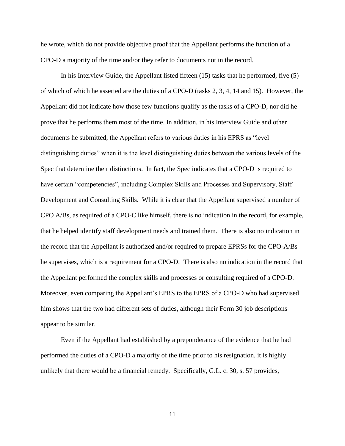he wrote, which do not provide objective proof that the Appellant performs the function of a CPO-D a majority of the time and/or they refer to documents not in the record.

In his Interview Guide, the Appellant listed fifteen (15) tasks that he performed, five (5) of which of which he asserted are the duties of a CPO-D (tasks 2, 3, 4, 14 and 15). However, the Appellant did not indicate how those few functions qualify as the tasks of a CPO-D, nor did he prove that he performs them most of the time. In addition, in his Interview Guide and other documents he submitted, the Appellant refers to various duties in his EPRS as "level distinguishing duties" when it is the level distinguishing duties between the various levels of the Spec that determine their distinctions. In fact, the Spec indicates that a CPO-D is required to have certain "competencies", including Complex Skills and Processes and Supervisory, Staff Development and Consulting Skills. While it is clear that the Appellant supervised a number of CPO A/Bs, as required of a CPO-C like himself, there is no indication in the record, for example, that he helped identify staff development needs and trained them. There is also no indication in the record that the Appellant is authorized and/or required to prepare EPRSs for the CPO-A/Bs he supervises, which is a requirement for a CPO-D. There is also no indication in the record that the Appellant performed the complex skills and processes or consulting required of a CPO-D. Moreover, even comparing the Appellant's EPRS to the EPRS of a CPO-D who had supervised him shows that the two had different sets of duties, although their Form 30 job descriptions appear to be similar.

Even if the Appellant had established by a preponderance of the evidence that he had performed the duties of a CPO-D a majority of the time prior to his resignation, it is highly unlikely that there would be a financial remedy. Specifically, G.L. c. 30, s. 57 provides,

11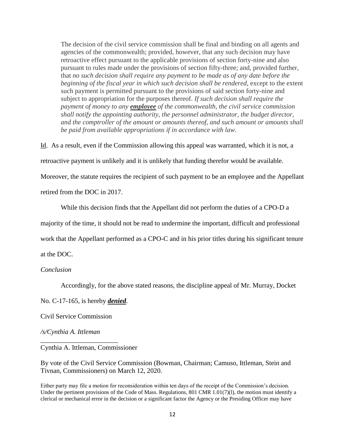The decision of the civil service commission shall be final and binding on all agents and agencies of the commonwealth; provided, however, that any such decision may have retroactive effect pursuant to the applicable provisions of section forty-nine and also pursuant to rules made under the provisions of section fifty-three; and, provided further, that *no such decision shall require any payment to be made as of any date before the beginning of the fiscal year in which such decision shall be rendered*, except to the extent such payment is permitted pursuant to the provisions of said section forty-nine and subject to appropriation for the purposes thereof. *If such decision shall require the payment of money to any employee of the commonwealth, the civil service commission shall notify the appointing authority, the personnel administrator, the budget director, and the comptroller of the amount or amounts thereof, and such amount or amounts shall be paid from available appropriations if in accordance with law*.

Id. As a result, even if the Commission allowing this appeal was warranted, which it is not, a

retroactive payment is unlikely and it is unlikely that funding therefor would be available.

Moreover, the statute requires the recipient of such payment to be an employee and the Appellant

retired from the DOC in 2017.

While this decision finds that the Appellant did not perform the duties of a CPO-D a

majority of the time, it should not be read to undermine the important, difficult and professional

work that the Appellant performed as a CPO-C and in his prior titles during his significant tenure

at the DOC.

### *Conclusion*

Accordingly, for the above stated reasons, the discipline appeal of Mr. Murray, Docket

No. C-17-165, is hereby *denied*.

Civil Service Commission

\_\_\_\_\_\_\_\_\_\_\_\_\_\_\_\_\_\_\_\_\_\_\_

*/s/Cynthia A. Ittleman*

Cynthia A. Ittleman, Commissioner

By vote of the Civil Service Commission (Bowman, Chairman; Camuso, Ittleman, Stein and Tivnan, Commissioners) on March 12, 2020.

Either party may file a motion for reconsideration within ten days of the receipt of the Commission's decision. Under the pertinent provisions of the Code of Mass. Regulations, 801 CMR  $1.01(7)(1)$ , the motion must identify a clerical or mechanical error in the decision or a significant factor the Agency or the Presiding Officer may have